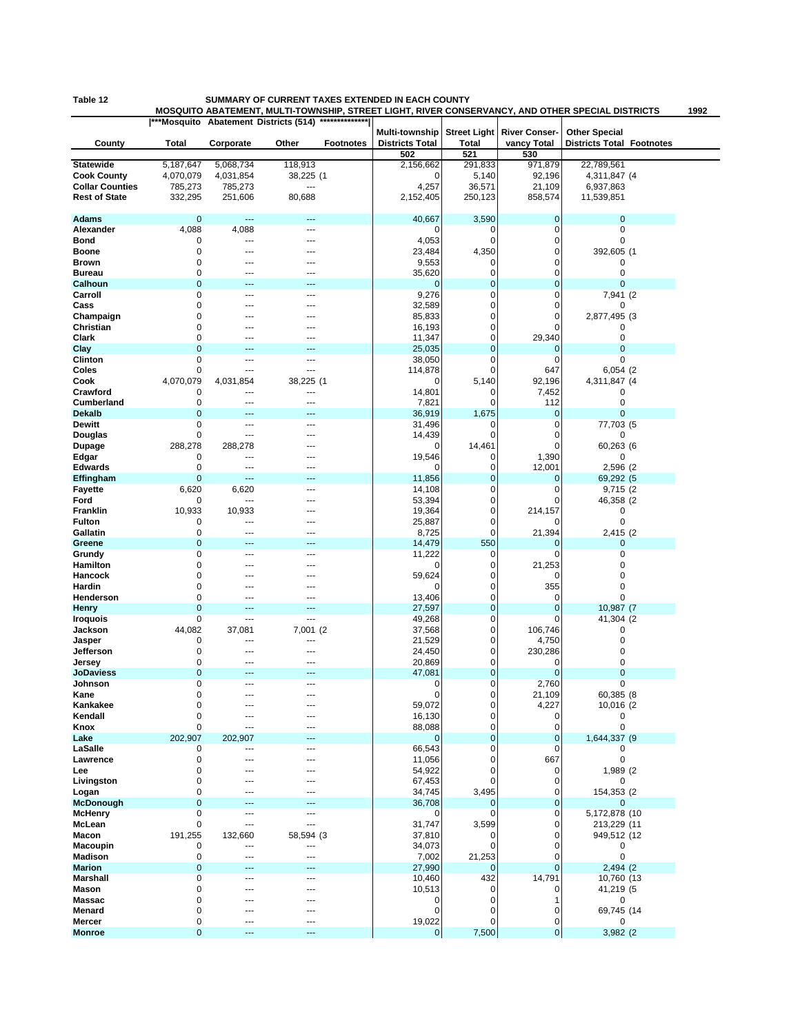## **Table 12 SUMMARY OF CURRENT TAXES EXTENDED IN EACH COUNTY**

**MOSQUITO ABATEMENT, MULTI-TOWNSHIP, STREET LIGHT, RIVER CONSERVANCY, AND OTHER SPECIAL DISTRICTS 1992**

|                        |               |                | ***Mosquito Abatement Districts (514) | **************   |                                          |                                     |                                     |                                                          |  |
|------------------------|---------------|----------------|---------------------------------------|------------------|------------------------------------------|-------------------------------------|-------------------------------------|----------------------------------------------------------|--|
| County                 | Total         | Corporate      | Other                                 | <b>Footnotes</b> | Multi-township<br><b>Districts Total</b> | <b>Street Light</b><br><b>Total</b> | <b>River Conser-</b><br>vancy Total | <b>Other Special</b><br><b>Districts Total Footnotes</b> |  |
|                        |               |                |                                       |                  | 502                                      | 521                                 | 530                                 |                                                          |  |
| <b>Statewide</b>       | 5,187,647     | 5,068,734      | 118,913                               |                  | 2,156,662                                | 291,833                             | 971,879                             | 22,789,561                                               |  |
| <b>Cook County</b>     | 4,070,079     | 4,031,854      | 38,225 (1                             |                  | 0                                        | 5,140                               | 92,196                              | 4,311,847 (4                                             |  |
| <b>Collar Counties</b> | 785,273       | 785,273        | ---                                   |                  | 4,257                                    | 36,571                              | 21,109                              | 6,937,863                                                |  |
| <b>Rest of State</b>   | 332,295       | 251,606        | 80,688                                |                  | 2,152,405                                | 250,123                             | 858,574                             | 11,539,851                                               |  |
|                        |               |                |                                       |                  |                                          |                                     |                                     |                                                          |  |
| <b>Adams</b>           | $\mathbf 0$   | ---            | 44                                    |                  | 40,667                                   | 3,590                               | $\mathbf 0$                         | $\mathbf 0$                                              |  |
| Alexander              | 4,088         | 4,088          | $---$                                 |                  | 0                                        | 0                                   | 0                                   | 0                                                        |  |
| Bond                   | 0             | ---            | ---                                   |                  | 4,053                                    | 0                                   | $\mathbf 0$                         | 0                                                        |  |
| Boone                  | 0             | ---            | ---                                   |                  | 23,484                                   | 4,350                               | 0                                   | 392,605 (1                                               |  |
| Brown                  | 0             |                | ---                                   |                  | 9,553                                    | 0                                   | 0                                   | 0                                                        |  |
| <b>Bureau</b>          | 0             |                |                                       |                  | 35,620                                   | 0                                   | 0                                   | 0                                                        |  |
| Calhoun                | $\mathbf 0$   |                |                                       |                  | $\mathbf{0}$                             | $\pmb{0}$                           | $\mathbf 0$                         | $\mathbf 0$                                              |  |
| Carroll                | 0             | ---            | ---                                   |                  | 9,276                                    | 0                                   | 0                                   | 7,941 (2                                                 |  |
| Cass                   | 0             |                |                                       |                  | 32,589                                   | 0                                   | 0                                   | 0                                                        |  |
| Champaign              | 0             |                |                                       |                  | 85,833                                   | 0                                   | 0                                   | 2,877,495 (3                                             |  |
| Christian              | 0             |                |                                       |                  | 16,193                                   | 0                                   | 0                                   | 0                                                        |  |
| Clark                  | 0             | ---            | ---                                   |                  | 11,347                                   | 0                                   | 29,340                              | 0                                                        |  |
| Clay                   | $\mathbf 0$   |                | 44                                    |                  | 25,035                                   | $\mathbf 0$                         | $\mathbf 0$                         | $\overline{0}$                                           |  |
| Clinton                | 0             | ---            | $---$                                 |                  | 38,050                                   | 0                                   | 0                                   | 0                                                        |  |
| Coles                  | 0             | ---            | ---                                   |                  | 114,878                                  | 0                                   | 647                                 | 6,054 (2                                                 |  |
| Cook                   | 4,070,079     | 4,031,854      | 38,225 (1                             |                  | 0                                        | 5,140                               | 92,196                              | 4,311,847 (4                                             |  |
| Crawford               | 0             | ---            | ---                                   |                  | 14,801                                   | 0                                   | 7,452                               | 0                                                        |  |
| <b>Cumberland</b>      | 0             | ---            | ---                                   |                  | 7,821                                    | 0                                   | 112                                 | 0                                                        |  |
| <b>Dekalb</b>          | $\mathbf 0$   |                |                                       |                  | 36,919                                   | 1,675                               | $\mathbf 0$                         | 0                                                        |  |
| <b>Dewitt</b>          | 0             | ---            | ---                                   |                  | 31,496                                   | 0                                   | 0                                   | 77,703 (5                                                |  |
| Douglas                | 0             | ---            | ---                                   |                  | 14,439                                   | $\mathbf 0$                         | 0                                   | 0                                                        |  |
| <b>Dupage</b>          | 288,278       | 288,278        | ---                                   |                  | 0                                        | 14,461                              | 0                                   | 60,263 (6                                                |  |
| Edgar                  | 0             | $\overline{a}$ | ---                                   |                  | 19,546                                   | 0                                   | 1,390                               | 0                                                        |  |
| <b>Edwards</b>         | 0             | $\overline{a}$ | $\sim$                                |                  | 0                                        | 0                                   | 12,001                              | 2,596 (2)                                                |  |
| Effingham              | $\mathbf 0$   | ---            | ---                                   |                  | 11,856                                   | $\pmb{0}$                           | $\mathbf 0$                         | 69,292 (5                                                |  |
| <b>Fayette</b>         | 6,620         | 6,620          | ---                                   |                  | 14,108                                   | 0                                   | $\mathbf 0$                         | 9,715 (2                                                 |  |
| Ford                   | 0             | ---            |                                       |                  | 53,394                                   | 0                                   | 0                                   | 46,358 (2)                                               |  |
| Franklin               | 10,933        | 10,933         |                                       |                  | 19,364                                   | 0                                   | 214,157                             | 0                                                        |  |
| <b>Fulton</b>          | 0             | $\overline{a}$ | ---                                   |                  | 25,887                                   | 0                                   |                                     | 0                                                        |  |
| Gallatin               | 0             | ---            | ---                                   |                  | 8,725                                    | 0                                   | 21,394                              | 2,415 (2)                                                |  |
| Greene                 | $\mathbf 0$   |                |                                       |                  | 14,479                                   | 550                                 | 0                                   | 0                                                        |  |
| Grundy                 | 0             | ---            | ---                                   |                  | 11,222                                   | 0                                   | 0                                   | 0                                                        |  |
| Hamilton               | 0             |                | ---                                   |                  | 0                                        | 0                                   | 21,253                              | 0                                                        |  |
| Hancock                | 0             |                |                                       |                  | 59,624                                   | 0                                   | 0                                   | 0                                                        |  |
| Hardin                 | 0             |                |                                       |                  | 0                                        | 0                                   | 355                                 | 0                                                        |  |
| Henderson              | 0             |                |                                       |                  | 13,406                                   | 0                                   | $\mathbf 0$                         | $\mathbf 0$                                              |  |
| Henry                  | $\mathbf 0$   | $---$          | ---                                   |                  | 27,597                                   | $\mathbf 0$                         | $\mathbf 0$                         | 10,987 (7                                                |  |
| <b>Iroquois</b>        | 0             | ---            | ---                                   |                  | 49,268                                   | 0                                   | 0                                   | 41,304 (2                                                |  |
| Jackson                | 44,082        | 37,081         | 7,001 (2)                             |                  | 37,568                                   | 0                                   | 106,746                             | 0                                                        |  |
| Jasper                 | 0             | ---            | ---                                   |                  | 21,529                                   | 0                                   | 4,750                               | 0                                                        |  |
| Jefferson              | 0             | ---            | ---                                   |                  | 24,450                                   | 0                                   | 230,286                             | 0                                                        |  |
| Jersey                 | 0             | ---            | ---                                   |                  | 20,869                                   | 0                                   | 0                                   | 0                                                        |  |
| <b>JoDaviess</b>       | $\mathbf 0$   |                | ---                                   |                  | 47,081                                   | $\pmb{0}$                           | $\mathbf 0$                         | 0                                                        |  |
| Johnson                | 0<br>$\Omega$ | $\overline{a}$ | $\overline{a}$                        |                  | 0<br>0                                   | 0<br>0                              | 2,760                               | 0                                                        |  |
| Kane                   |               |                |                                       |                  |                                          | 0                                   | 21,109<br>4,227                     | 60,385 (8                                                |  |
| Kankakee<br>Kendall    | 0<br>0        | ---            | ---                                   |                  | 59,072<br>16,130                         | 0                                   |                                     | 10,016 (2<br>0                                           |  |
| Knox                   | 0             | $\overline{a}$ | $---$                                 |                  | 88,088                                   | 0                                   | 0<br>0                              | 0                                                        |  |
| Lake                   | 202,907       | 202,907        |                                       |                  | $\mathbf{0}$                             | $\pmb{0}$                           | $\mathbf 0$                         | 1,644,337 (9                                             |  |
| LaSalle                | 0             | $\overline{a}$ | ---                                   |                  | 66,543                                   | 0                                   | 0                                   | 0                                                        |  |
| Lawrence               | $\mathbf 0$   | ---            | ---                                   |                  | 11,056                                   | 0                                   | 667                                 | 0                                                        |  |
| Lee                    | 0             |                |                                       |                  | 54,922                                   | 0                                   | 0                                   | 1,989 (2)                                                |  |
| Livingston             | 0             |                |                                       |                  | 67,453                                   | 0                                   | $\mathbf 0$                         | 0                                                        |  |
| Logan                  | 0             |                | ---                                   |                  | 34,745                                   | 3,495                               | 0                                   | 154,353 (2)                                              |  |
| <b>McDonough</b>       | $\mathbf 0$   |                | ---                                   |                  | 36,708                                   | 0                                   | $\mathbf 0$                         | 0                                                        |  |
| <b>McHenry</b>         | 0             | $---$          | ---                                   |                  | 0                                        | 0                                   | 0                                   | 5,172,878 (10                                            |  |
| McLean                 | $\mathbf 0$   | ---            | ---                                   |                  | 31,747                                   | 3,599                               | 0                                   | 213,229 (11                                              |  |
| Macon                  | 191,255       | 132,660        | 58,594 (3                             |                  | 37,810                                   | 0                                   | $\mathbf 0$                         | 949,512 (12                                              |  |
| Macoupin               | 0             | ---            | ---                                   |                  | 34,073                                   | 0                                   | $\mathbf 0$                         | 0                                                        |  |
| Madison                | 0             | ---            | ---                                   |                  | 7,002                                    | 21,253                              | 0                                   | $\pmb{0}$                                                |  |
| <b>Marion</b>          | $\mathbf 0$   |                |                                       |                  | 27,990                                   | $\mathbf 0$                         | $\mathbf{0}$                        | 2,494 (2)                                                |  |
| Marshall               | $\mathbf 0$   | ---            | $---$                                 |                  | 10,460                                   | 432                                 | 14,791                              | 10,760 (13                                               |  |
| Mason                  | 0             |                | ---                                   |                  | 10,513                                   | 0                                   | 0                                   | 41,219 (5                                                |  |
| Massac                 | 0             | ---            | ---                                   |                  | 0                                        | 0                                   | 1                                   | 0                                                        |  |
| Menard                 | 0             |                |                                       |                  | $\mathbf 0$                              | 0                                   | 0                                   | 69,745 (14                                               |  |
| Mercer                 | 0             | ---            | $---$                                 |                  | 19,022                                   | 0                                   | 0                                   | 0                                                        |  |
| <b>Monroe</b>          | $\mathbf 0$   | ---            | ---                                   |                  | $\mathbf 0$                              | 7,500                               | $\pmb{0}$                           | 3,982 (2)                                                |  |
|                        |               |                |                                       |                  |                                          |                                     |                                     |                                                          |  |